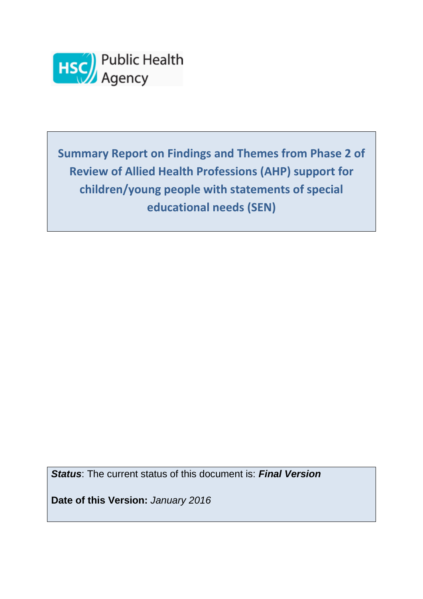

**Summary Report on Findings and Themes from Phase 2 of Review of Allied Health Professions (AHP) support for children/young people with statements of special educational needs (SEN)**

*Status*: The current status of this document is: *Final Version*

**Date of this Version:** *January 2016*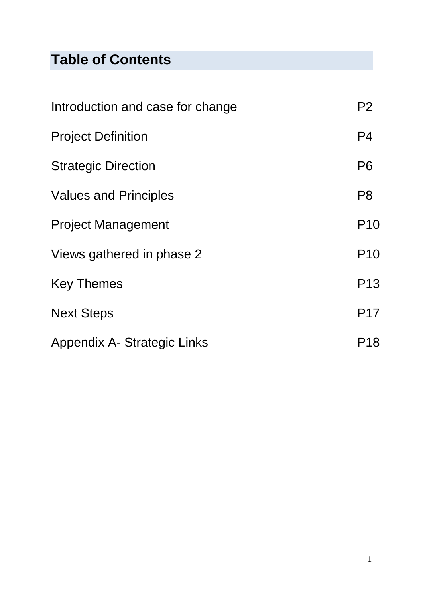# **Table of Contents**

| Introduction and case for change | P <sub>2</sub>  |
|----------------------------------|-----------------|
| <b>Project Definition</b>        | P <sub>4</sub>  |
| <b>Strategic Direction</b>       | P <sub>6</sub>  |
| <b>Values and Principles</b>     | P <sub>8</sub>  |
| <b>Project Management</b>        | P <sub>10</sub> |
| Views gathered in phase 2        | P <sub>10</sub> |
| <b>Key Themes</b>                | P <sub>13</sub> |
| <b>Next Steps</b>                | <b>P17</b>      |
| Appendix A- Strategic Links      | P18             |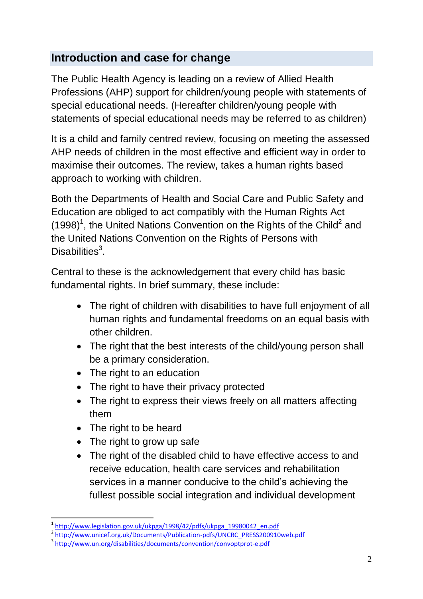# **Introduction and case for change**

The Public Health Agency is leading on a review of Allied Health Professions (AHP) support for children/young people with statements of special educational needs. (Hereafter children/young people with statements of special educational needs may be referred to as children)

It is a child and family centred review, focusing on meeting the assessed AHP needs of children in the most effective and efficient way in order to maximise their outcomes. The review, takes a human rights based approach to working with children.

Both the Departments of Health and Social Care and Public Safety and Education are obliged to act compatibly with the Human Rights Act  $(1998)^1$ , the United Nations Convention on the Rights of the Child<sup>2</sup> and the United Nations Convention on the Rights of Persons with Disabilities<sup>3</sup>.

Central to these is the acknowledgement that every child has basic fundamental rights. In brief summary, these include:

- The right of children with disabilities to have full enjoyment of all human rights and fundamental freedoms on an equal basis with other children.
- The right that the best interests of the child/young person shall be a primary consideration.
- The right to an education
- The right to have their privacy protected
- The right to express their views freely on all matters affecting them
- The right to be heard

**.** 

- The right to grow up safe
- The right of the disabled child to have effective access to and receive education, health care services and rehabilitation services in a manner conducive to the child's achieving the fullest possible social integration and individual development

<sup>1</sup> [http://www.legislation.gov.uk/ukpga/1998/42/pdfs/ukpga\\_19980042\\_en.pdf](http://www.legislation.gov.uk/ukpga/1998/42/pdfs/ukpga_19980042_en.pdf)

<sup>&</sup>lt;sup>2</sup> [http://www.unicef.org.uk/Documents/Publication-pdfs/UNCRC\\_PRESS200910web.pdf](http://www.unicef.org.uk/Documents/Publication-pdfs/UNCRC_PRESS200910web.pdf)

<sup>&</sup>lt;sup>3</sup> <http://www.un.org/disabilities/documents/convention/convoptprot-e.pdf>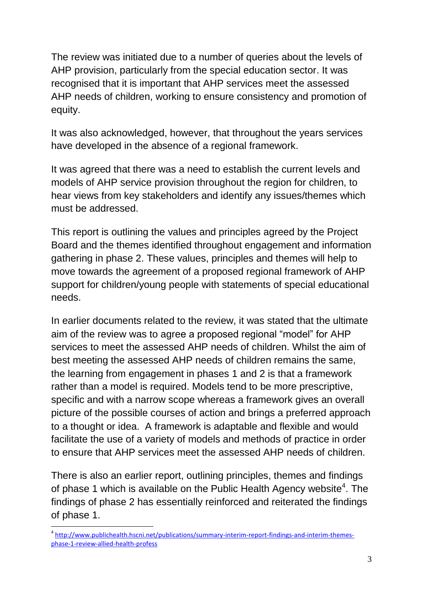The review was initiated due to a number of queries about the levels of AHP provision, particularly from the special education sector. It was recognised that it is important that AHP services meet the assessed AHP needs of children, working to ensure consistency and promotion of equity.

It was also acknowledged, however, that throughout the years services have developed in the absence of a regional framework.

It was agreed that there was a need to establish the current levels and models of AHP service provision throughout the region for children, to hear views from key stakeholders and identify any issues/themes which must be addressed.

This report is outlining the values and principles agreed by the Project Board and the themes identified throughout engagement and information gathering in phase 2. These values, principles and themes will help to move towards the agreement of a proposed regional framework of AHP support for children/young people with statements of special educational needs.

In earlier documents related to the review, it was stated that the ultimate aim of the review was to agree a proposed regional "model" for AHP services to meet the assessed AHP needs of children. Whilst the aim of best meeting the assessed AHP needs of children remains the same, the learning from engagement in phases 1 and 2 is that a framework rather than a model is required. Models tend to be more prescriptive. specific and with a narrow scope whereas a framework gives an overall picture of the possible courses of action and brings a preferred approach to a thought or idea. A framework is adaptable and flexible and would facilitate the use of a variety of models and methods of practice in order to ensure that AHP services meet the assessed AHP needs of children.

There is also an earlier report, outlining principles, themes and findings of phase 1 which is available on the Public Health Agency website<sup>4</sup>. The findings of phase 2 has essentially reinforced and reiterated the findings of phase 1.

1

<sup>&</sup>lt;sup>4</sup> [http://www.publichealth.hscni.net/publications/summary-interim-report-findings-and-interim-themes](http://www.publichealth.hscni.net/publications/summary-interim-report-findings-and-interim-themes-phase-1-review-allied-health-profess)[phase-1-review-allied-health-profess](http://www.publichealth.hscni.net/publications/summary-interim-report-findings-and-interim-themes-phase-1-review-allied-health-profess)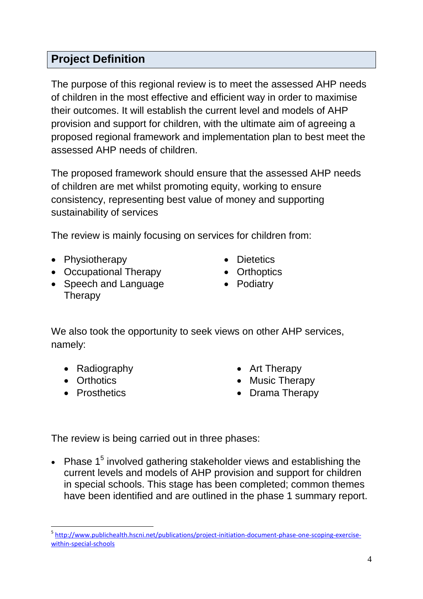# **Project Definition**

The purpose of this regional review is to meet the assessed AHP needs of children in the most effective and efficient way in order to maximise their outcomes. It will establish the current level and models of AHP provision and support for children, with the ultimate aim of agreeing a proposed regional framework and implementation plan to best meet the assessed AHP needs of children.

The proposed framework should ensure that the assessed AHP needs of children are met whilst promoting equity, working to ensure consistency, representing best value of money and supporting sustainability of services

The review is mainly focusing on services for children from:

- Physiotherapy
- Occupational Therapy
- Speech and Language **Therapy**
- **•** Dietetics
- Orthoptics
- Podiatry

We also took the opportunity to seek views on other AHP services, namely:

- Radiography
- Orthotics
- Prosthetics
- Art Therapy
- Music Therapy
- Drama Therapy

The review is being carried out in three phases:

• Phase  $1<sup>5</sup>$  involved gathering stakeholder views and establishing the current levels and models of AHP provision and support for children in special schools. This stage has been completed; common themes have been identified and are outlined in the phase 1 summary report.

<sup>1</sup> <sup>5</sup> [http://www.publichealth.hscni.net/publications/project-initiation-document-phase-one-scoping-exercise](http://www.publichealth.hscni.net/publications/project-initiation-document-phase-one-scoping-exercise-within-special-schools)[within-special-schools](http://www.publichealth.hscni.net/publications/project-initiation-document-phase-one-scoping-exercise-within-special-schools)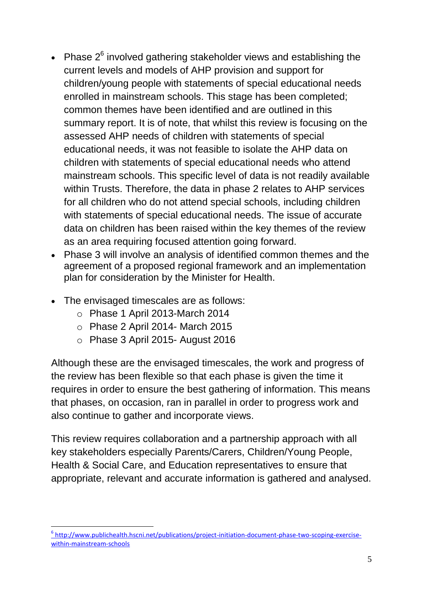- Phase  $2^6$  involved gathering stakeholder views and establishing the current levels and models of AHP provision and support for children/young people with statements of special educational needs enrolled in mainstream schools. This stage has been completed; common themes have been identified and are outlined in this summary report. It is of note, that whilst this review is focusing on the assessed AHP needs of children with statements of special educational needs, it was not feasible to isolate the AHP data on children with statements of special educational needs who attend mainstream schools. This specific level of data is not readily available within Trusts. Therefore, the data in phase 2 relates to AHP services for all children who do not attend special schools, including children with statements of special educational needs. The issue of accurate data on children has been raised within the key themes of the review as an area requiring focused attention going forward.
- Phase 3 will involve an analysis of identified common themes and the agreement of a proposed regional framework and an implementation plan for consideration by the Minister for Health.
- The envisaged timescales are as follows:
	- o Phase 1 April 2013-March 2014
	- o Phase 2 April 2014- March 2015
	- o Phase 3 April 2015- August 2016

Although these are the envisaged timescales, the work and progress of the review has been flexible so that each phase is given the time it requires in order to ensure the best gathering of information. This means that phases, on occasion, ran in parallel in order to progress work and also continue to gather and incorporate views.

This review requires collaboration and a partnership approach with all key stakeholders especially Parents/Carers, Children/Young People, Health & Social Care, and Education representatives to ensure that appropriate, relevant and accurate information is gathered and analysed.

<sup>1</sup> <sup>6</sup> [http://www.publichealth.hscni.net/publications/project-initiation-document-phase-two-scoping-exercise](http://www.publichealth.hscni.net/publications/project-initiation-document-phase-two-scoping-exercise-within-mainstream-schools)[within-mainstream-schools](http://www.publichealth.hscni.net/publications/project-initiation-document-phase-two-scoping-exercise-within-mainstream-schools)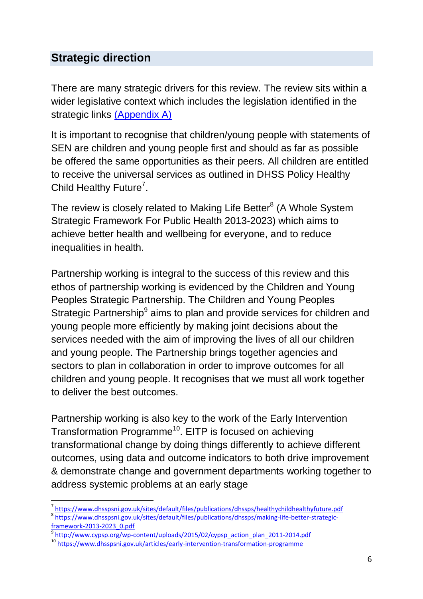# **Strategic direction**

There are many strategic drivers for this review. The review sits within a wider legislative context which includes the legislation identified in the strategic links (Appendix A)

It is important to recognise that children/young people with statements of SEN are children and young people first and should as far as possible be offered the same opportunities as their peers. All children are entitled to receive the universal services as outlined in DHSS Policy Healthy Child Healthy Future<sup>7</sup>.

The review is closely related to Making Life Better<sup>8</sup> (A Whole System Strategic Framework For Public Health 2013-2023) which aims to achieve better health and wellbeing for everyone, and to reduce inequalities in health.

Partnership working is integral to the success of this review and this ethos of partnership working is evidenced by the Children and Young Peoples Strategic Partnership. The Children and Young Peoples Strategic Partnership<sup>9</sup> aims to plan and provide services for children and young people more efficiently by making joint decisions about the services needed with the aim of improving the lives of all our children and young people. The Partnership brings together agencies and sectors to plan in collaboration in order to improve outcomes for all children and young people. It recognises that we must all work together to deliver the best outcomes.

Partnership working is also key to the work of the Early Intervention Transformation Programme<sup>10</sup>. EITP is focused on achieving transformational change by doing things differently to achieve different outcomes, using data and outcome indicators to both drive improvement & demonstrate change and government departments working together to address systemic problems at an early stage

 $\overline{a}$ 

<sup>&</sup>lt;sup>7</sup><https://www.dhsspsni.gov.uk/sites/default/files/publications/dhssps/healthychildhealthyfuture.pdf>

<sup>&</sup>lt;sup>8</sup> [https://www.dhsspsni.gov.uk/sites/default/files/publications/dhssps/making-life-better-strategic](https://www.dhsspsni.gov.uk/sites/default/files/publications/dhssps/making-life-better-strategic-framework-2013-2023_0.pdf)framework-2013-2023 0.pdf

[http://www.cypsp.org/wp-content/uploads/2015/02/cypsp\\_action\\_plan\\_2011-2014.pdf](http://www.cypsp.org/wp-content/uploads/2015/02/cypsp_action_plan_2011-2014.pdf)

<sup>10</sup> <https://www.dhsspsni.gov.uk/articles/early-intervention-transformation-programme>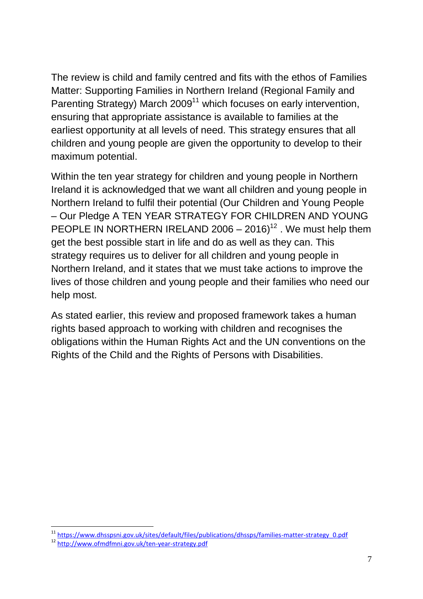The review is child and family centred and fits with the ethos of Families Matter: Supporting Families in Northern Ireland (Regional Family and Parenting Strategy) March 2009<sup>11</sup> which focuses on early intervention, ensuring that appropriate assistance is available to families at the earliest opportunity at all levels of need. This strategy ensures that all children and young people are given the opportunity to develop to their maximum potential.

Within the ten year strategy for children and young people in Northern Ireland it is acknowledged that we want all children and young people in Northern Ireland to fulfil their potential (Our Children and Young People – Our Pledge A TEN YEAR STRATEGY FOR CHILDREN AND YOUNG PEOPLE IN NORTHERN IRELAND 2006 –  $2016$ <sup>12</sup>. We must help them get the best possible start in life and do as well as they can. This strategy requires us to deliver for all children and young people in Northern Ireland, and it states that we must take actions to improve the lives of those children and young people and their families who need our help most.

As stated earlier, this review and proposed framework takes a human rights based approach to working with children and recognises the obligations within the Human Rights Act and the UN conventions on the Rights of the Child and the Rights of Persons with Disabilities.

1

<sup>&</sup>lt;sup>11</sup> [https://www.dhsspsni.gov.uk/sites/default/files/publications/dhssps/families-matter-strategy\\_0.pdf](https://www.dhsspsni.gov.uk/sites/default/files/publications/dhssps/families-matter-strategy_0.pdf)

<sup>12</sup> <http://www.ofmdfmni.gov.uk/ten-year-strategy.pdf>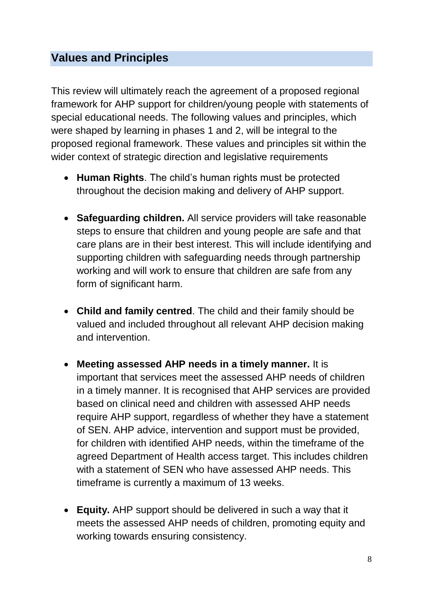### **Values and Principles**

This review will ultimately reach the agreement of a proposed regional framework for AHP support for children/young people with statements of special educational needs. The following values and principles, which were shaped by learning in phases 1 and 2, will be integral to the proposed regional framework. These values and principles sit within the wider context of strategic direction and legislative requirements

- **Human Rights**. The child's human rights must be protected throughout the decision making and delivery of AHP support.
- **Safeguarding children.** All service providers will take reasonable steps to ensure that children and young people are safe and that care plans are in their best interest. This will include identifying and supporting children with safeguarding needs through partnership working and will work to ensure that children are safe from any form of significant harm.
- **Child and family centred**. The child and their family should be valued and included throughout all relevant AHP decision making and intervention.
- **Meeting assessed AHP needs in a timely manner.** It is important that services meet the assessed AHP needs of children in a timely manner. It is recognised that AHP services are provided based on clinical need and children with assessed AHP needs require AHP support, regardless of whether they have a statement of SEN. AHP advice, intervention and support must be provided, for children with identified AHP needs, within the timeframe of the agreed Department of Health access target. This includes children with a statement of SEN who have assessed AHP needs. This timeframe is currently a maximum of 13 weeks.
- **Equity.** AHP support should be delivered in such a way that it meets the assessed AHP needs of children, promoting equity and working towards ensuring consistency.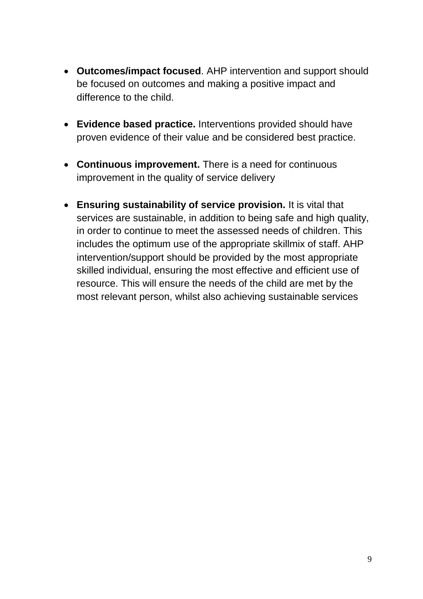- **Outcomes/impact focused**. AHP intervention and support should be focused on outcomes and making a positive impact and difference to the child.
- **Evidence based practice.** Interventions provided should have proven evidence of their value and be considered best practice.
- **Continuous improvement.** There is a need for continuous improvement in the quality of service delivery
- **Ensuring sustainability of service provision.** It is vital that services are sustainable, in addition to being safe and high quality, in order to continue to meet the assessed needs of children. This includes the optimum use of the appropriate skillmix of staff. AHP intervention/support should be provided by the most appropriate skilled individual, ensuring the most effective and efficient use of resource. This will ensure the needs of the child are met by the most relevant person, whilst also achieving sustainable services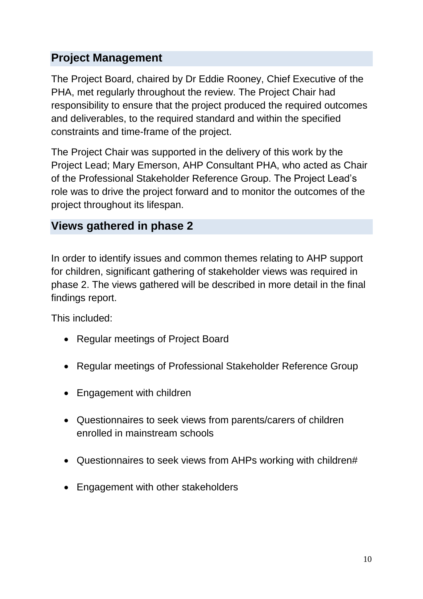# **Project Management**

The Project Board, chaired by Dr Eddie Rooney, Chief Executive of the PHA, met regularly throughout the review. The Project Chair had responsibility to ensure that the project produced the required outcomes and deliverables, to the required standard and within the specified constraints and time-frame of the project.

The Project Chair was supported in the delivery of this work by the Project Lead; Mary Emerson, AHP Consultant PHA, who acted as Chair of the Professional Stakeholder Reference Group. The Project Lead's role was to drive the project forward and to monitor the outcomes of the project throughout its lifespan.

#### **Views gathered in phase 2**

In order to identify issues and common themes relating to AHP support for children, significant gathering of stakeholder views was required in phase 2. The views gathered will be described in more detail in the final findings report.

This included:

- Regular meetings of Project Board
- Regular meetings of Professional Stakeholder Reference Group
- Engagement with children
- Questionnaires to seek views from parents/carers of children enrolled in mainstream schools
- Questionnaires to seek views from AHPs working with children#
- Engagement with other stakeholders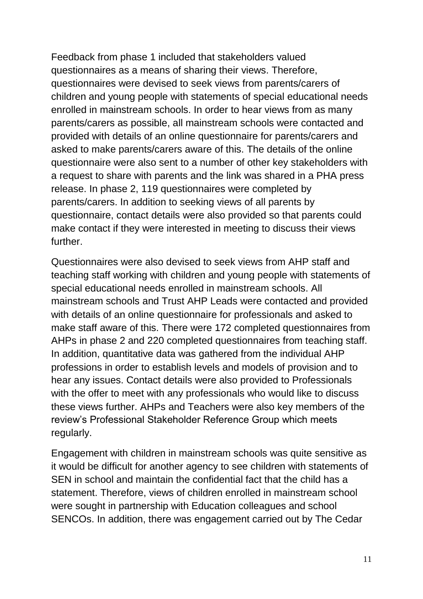Feedback from phase 1 included that stakeholders valued questionnaires as a means of sharing their views. Therefore, questionnaires were devised to seek views from parents/carers of children and young people with statements of special educational needs enrolled in mainstream schools. In order to hear views from as many parents/carers as possible, all mainstream schools were contacted and provided with details of an online questionnaire for parents/carers and asked to make parents/carers aware of this. The details of the online questionnaire were also sent to a number of other key stakeholders with a request to share with parents and the link was shared in a PHA press release. In phase 2, 119 questionnaires were completed by parents/carers. In addition to seeking views of all parents by questionnaire, contact details were also provided so that parents could make contact if they were interested in meeting to discuss their views further.

Questionnaires were also devised to seek views from AHP staff and teaching staff working with children and young people with statements of special educational needs enrolled in mainstream schools. All mainstream schools and Trust AHP Leads were contacted and provided with details of an online questionnaire for professionals and asked to make staff aware of this. There were 172 completed questionnaires from AHPs in phase 2 and 220 completed questionnaires from teaching staff. In addition, quantitative data was gathered from the individual AHP professions in order to establish levels and models of provision and to hear any issues. Contact details were also provided to Professionals with the offer to meet with any professionals who would like to discuss these views further. AHPs and Teachers were also key members of the review's Professional Stakeholder Reference Group which meets regularly.

Engagement with children in mainstream schools was quite sensitive as it would be difficult for another agency to see children with statements of SEN in school and maintain the confidential fact that the child has a statement. Therefore, views of children enrolled in mainstream school were sought in partnership with Education colleagues and school SENCOs. In addition, there was engagement carried out by The Cedar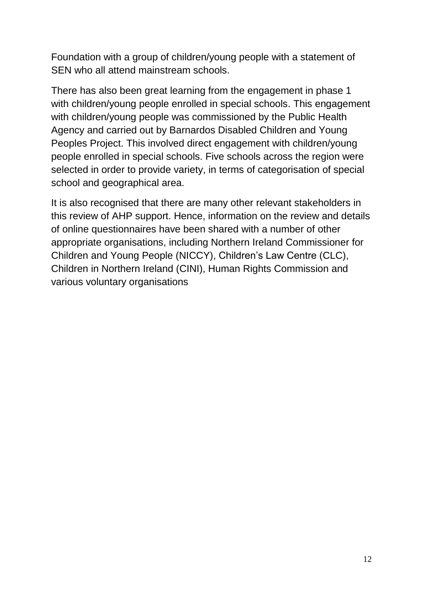Foundation with a group of children/young people with a statement of SEN who all attend mainstream schools.

There has also been great learning from the engagement in phase 1 with children/young people enrolled in special schools. This engagement with children/young people was commissioned by the Public Health Agency and carried out by Barnardos Disabled Children and Young Peoples Project. This involved direct engagement with children/young people enrolled in special schools. Five schools across the region were selected in order to provide variety, in terms of categorisation of special school and geographical area.

It is also recognised that there are many other relevant stakeholders in this review of AHP support. Hence, information on the review and details of online questionnaires have been shared with a number of other appropriate organisations, including Northern Ireland Commissioner for Children and Young People (NICCY), Children's Law Centre (CLC), Children in Northern Ireland (CINI), Human Rights Commission and various voluntary organisations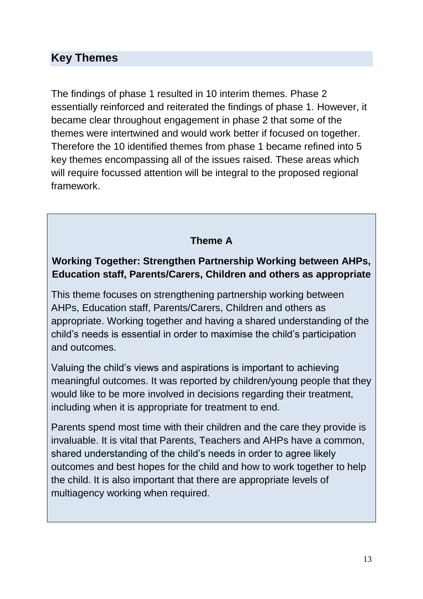#### **Key Themes**

The findings of phase 1 resulted in 10 interim themes. Phase 2 essentially reinforced and reiterated the findings of phase 1. However, it became clear throughout engagement in phase 2 that some of the themes were intertwined and would work better if focused on together. Therefore the 10 identified themes from phase 1 became refined into 5 key themes encompassing all of the issues raised. These areas which will require focussed attention will be integral to the proposed regional framework.

#### **Theme A**

#### **Working Together: Strengthen Partnership Working between AHPs, Education staff, Parents/Carers, Children and others as appropriate**

This theme focuses on strengthening partnership working between AHPs, Education staff, Parents/Carers, Children and others as appropriate. Working together and having a shared understanding of the child's needs is essential in order to maximise the child's participation and outcomes.

Valuing the child's views and aspirations is important to achieving meaningful outcomes. It was reported by children/young people that they would like to be more involved in decisions regarding their treatment, including when it is appropriate for treatment to end.

Parents spend most time with their children and the care they provide is invaluable. It is vital that Parents, Teachers and AHPs have a common, shared understanding of the child's needs in order to agree likely outcomes and best hopes for the child and how to work together to help the child. It is also important that there are appropriate levels of multiagency working when required.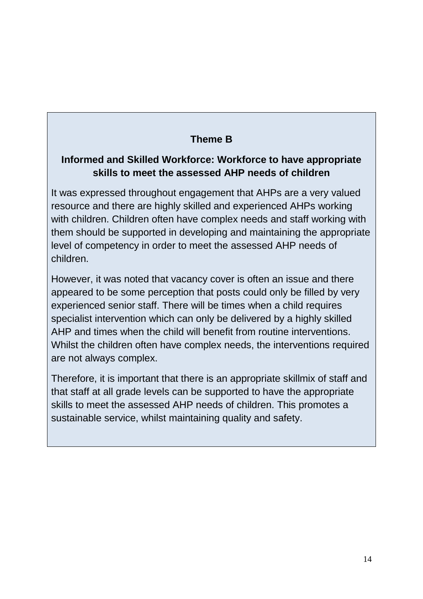### **Theme B**

#### **Informed and Skilled Workforce: Workforce to have appropriate skills to meet the assessed AHP needs of children**

It was expressed throughout engagement that AHPs are a very valued resource and there are highly skilled and experienced AHPs working with children. Children often have complex needs and staff working with them should be supported in developing and maintaining the appropriate level of competency in order to meet the assessed AHP needs of children.

However, it was noted that vacancy cover is often an issue and there appeared to be some perception that posts could only be filled by very experienced senior staff. There will be times when a child requires specialist intervention which can only be delivered by a highly skilled AHP and times when the child will benefit from routine interventions. Whilst the children often have complex needs, the interventions required are not always complex.

Therefore, it is important that there is an appropriate skillmix of staff and that staff at all grade levels can be supported to have the appropriate skills to meet the assessed AHP needs of children. This promotes a sustainable service, whilst maintaining quality and safety.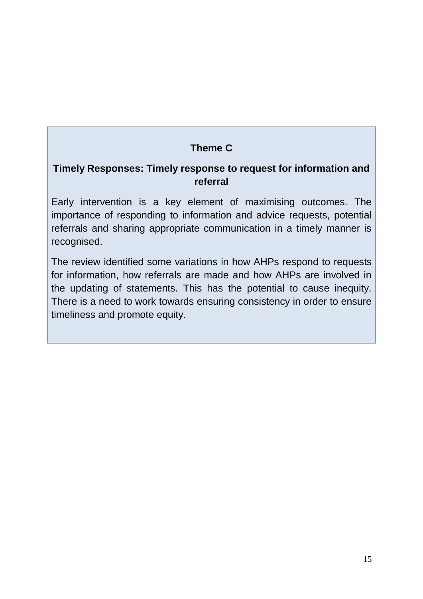#### **Theme C**

#### **Timely Responses: Timely response to request for information and referral**

Early intervention is a key element of maximising outcomes. The importance of responding to information and advice requests, potential referrals and sharing appropriate communication in a timely manner is recognised.

The review identified some variations in how AHPs respond to requests for information, how referrals are made and how AHPs are involved in the updating of statements. This has the potential to cause inequity. There is a need to work towards ensuring consistency in order to ensure timeliness and promote equity.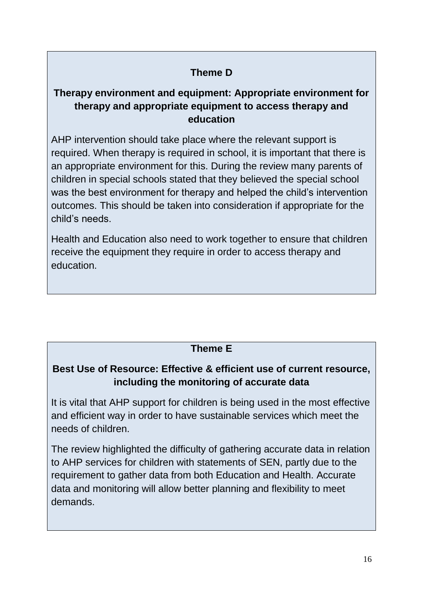#### **Theme D**

#### **Therapy environment and equipment: Appropriate environment for therapy and appropriate equipment to access therapy and education**

AHP intervention should take place where the relevant support is required. When therapy is required in school, it is important that there is an appropriate environment for this. During the review many parents of children in special schools stated that they believed the special school was the best environment for therapy and helped the child's intervention outcomes. This should be taken into consideration if appropriate for the child's needs.

Health and Education also need to work together to ensure that children receive the equipment they require in order to access therapy and education.

#### **Theme E**

#### **Best Use of Resource: Effective & efficient use of current resource, including the monitoring of accurate data**

It is vital that AHP support for children is being used in the most effective and efficient way in order to have sustainable services which meet the needs of children.

The review highlighted the difficulty of gathering accurate data in relation to AHP services for children with statements of SEN, partly due to the requirement to gather data from both Education and Health. Accurate data and monitoring will allow better planning and flexibility to meet demands.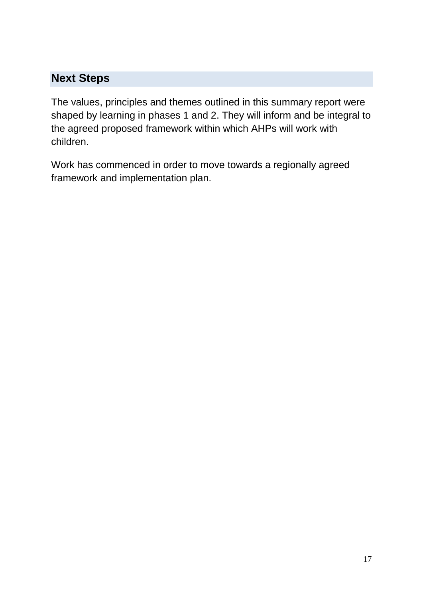# **Next Steps**

The values, principles and themes outlined in this summary report were shaped by learning in phases 1 and 2. They will inform and be integral to the agreed proposed framework within which AHPs will work with children.

Work has commenced in order to move towards a regionally agreed framework and implementation plan.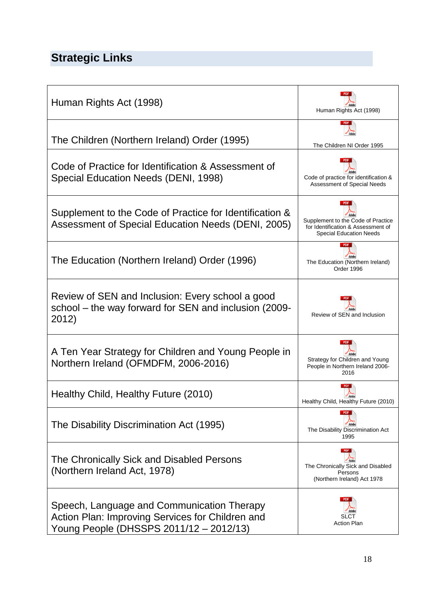# **Strategic Links**

| Human Rights Act (1998)                                                                                                                   | Human Rights Act (1998)                                                                                    |
|-------------------------------------------------------------------------------------------------------------------------------------------|------------------------------------------------------------------------------------------------------------|
| The Children (Northern Ireland) Order (1995)                                                                                              | <b>PDF</b><br>The Children NI Order 1995                                                                   |
| Code of Practice for Identification & Assessment of<br>Special Education Needs (DENI, 1998)                                               | Code of practice for identification &<br>Assessment of Special Needs                                       |
| Supplement to the Code of Practice for Identification &<br>Assessment of Special Education Needs (DENI, 2005)                             | Supplement to the Code of Practice<br>for Identification & Assessment of<br><b>Special Education Needs</b> |
| The Education (Northern Ireland) Order (1996)                                                                                             | The Education (Northern Ireland)<br>Order 1996                                                             |
| Review of SEN and Inclusion: Every school a good<br>school – the way forward for SEN and inclusion (2009-<br>2012)                        | Review of SEN and Inclusion                                                                                |
| A Ten Year Strategy for Children and Young People in<br>Northern Ireland (OFMDFM, 2006-2016)                                              | Strategy for Children and Young<br>People in Northern Ireland 2006-<br>2016                                |
| Healthy Child, Healthy Future (2010)                                                                                                      | <b>PDF</b><br>Healthy Child, Healthy Future (2010)                                                         |
| The Disability Discrimination Act (1995)                                                                                                  | The Disability Discrimination Act<br>1995                                                                  |
| The Chronically Sick and Disabled Persons<br>(Northern Ireland Act, 1978)                                                                 | <b>PDF</b><br>Adob<br>The Chronically Sick and Disabled<br>Persons<br>(Northern Ireland) Act 1978          |
| Speech, Language and Communication Therapy<br>Action Plan: Improving Services for Children and<br>Young People (DHSSPS 2011/12 - 2012/13) | SLCT<br><b>Action Plan</b>                                                                                 |